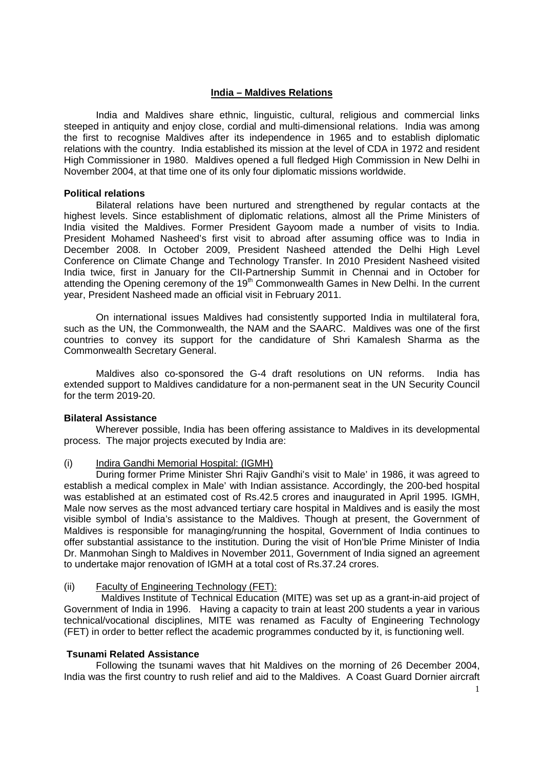# **India – Maldives Relations**

 India and Maldives share ethnic, linguistic, cultural, religious and commercial links steeped in antiquity and enjoy close, cordial and multi-dimensional relations. India was among the first to recognise Maldives after its independence in 1965 and to establish diplomatic relations with the country. India established its mission at the level of CDA in 1972 and resident High Commissioner in 1980. Maldives opened a full fledged High Commission in New Delhi in November 2004, at that time one of its only four diplomatic missions worldwide.

## **Political relations**

 Bilateral relations have been nurtured and strengthened by regular contacts at the highest levels. Since establishment of diplomatic relations, almost all the Prime Ministers of India visited the Maldives. Former President Gayoom made a number of visits to India. President Mohamed Nasheed's first visit to abroad after assuming office was to India in December 2008. In October 2009, President Nasheed attended the Delhi High Level Conference on Climate Change and Technology Transfer. In 2010 President Nasheed visited India twice, first in January for the CII-Partnership Summit in Chennai and in October for attending the Opening ceremony of the 19<sup>th</sup> Commonwealth Games in New Delhi. In the current year, President Nasheed made an official visit in February 2011.

 On international issues Maldives had consistently supported India in multilateral fora, such as the UN, the Commonwealth, the NAM and the SAARC. Maldives was one of the first countries to convey its support for the candidature of Shri Kamalesh Sharma as the Commonwealth Secretary General.

 Maldives also co-sponsored the G-4 draft resolutions on UN reforms. India has extended support to Maldives candidature for a non-permanent seat in the UN Security Council for the term 2019-20.

# **Bilateral Assistance**

 Wherever possible, India has been offering assistance to Maldives in its developmental process. The major projects executed by India are:

# (i) Indira Gandhi Memorial Hospital: (IGMH)

 During former Prime Minister Shri Rajiv Gandhi's visit to Male' in 1986, it was agreed to establish a medical complex in Male' with Indian assistance. Accordingly, the 200-bed hospital was established at an estimated cost of Rs.42.5 crores and inaugurated in April 1995. IGMH, Male now serves as the most advanced tertiary care hospital in Maldives and is easily the most visible symbol of India's assistance to the Maldives. Though at present, the Government of Maldives is responsible for managing/running the hospital, Government of India continues to offer substantial assistance to the institution. During the visit of Hon'ble Prime Minister of India Dr. Manmohan Singh to Maldives in November 2011, Government of India signed an agreement to undertake major renovation of IGMH at a total cost of Rs.37.24 crores.

# (ii) Faculty of Engineering Technology (FET):

 Maldives Institute of Technical Education (MITE) was set up as a grant-in-aid project of Government of India in 1996. Having a capacity to train at least 200 students a year in various technical/vocational disciplines, MITE was renamed as Faculty of Engineering Technology (FET) in order to better reflect the academic programmes conducted by it, is functioning well.

# **Tsunami Related Assistance**

 Following the tsunami waves that hit Maldives on the morning of 26 December 2004, India was the first country to rush relief and aid to the Maldives. A Coast Guard Dornier aircraft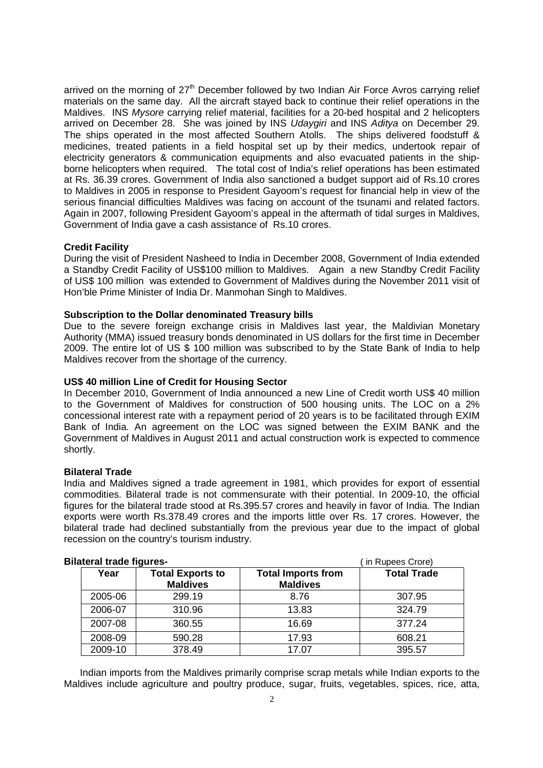arrived on the morning of  $27<sup>th</sup>$  December followed by two Indian Air Force Avros carrying relief materials on the same day. All the aircraft stayed back to continue their relief operations in the Maldives. INS Mysore carrying relief material, facilities for a 20-bed hospital and 2 helicopters arrived on December 28. She was joined by INS Udaygiri and INS Aditya on December 29. The ships operated in the most affected Southern Atolls. The ships delivered foodstuff & medicines, treated patients in a field hospital set up by their medics, undertook repair of electricity generators & communication equipments and also evacuated patients in the shipborne helicopters when required. The total cost of India's relief operations has been estimated at Rs. 36.39 crores. Government of India also sanctioned a budget support aid of Rs.10 crores to Maldives in 2005 in response to President Gayoom's request for financial help in view of the serious financial difficulties Maldives was facing on account of the tsunami and related factors. Again in 2007, following President Gayoom's appeal in the aftermath of tidal surges in Maldives, Government of India gave a cash assistance of Rs.10 crores.

# **Credit Facility**

During the visit of President Nasheed to India in December 2008, Government of India extended a Standby Credit Facility of US\$100 million to Maldives. Again a new Standby Credit Facility of US\$ 100 million was extended to Government of Maldives during the November 2011 visit of Hon'ble Prime Minister of India Dr. Manmohan Singh to Maldives.

## **Subscription to the Dollar denominated Treasury bills**

Due to the severe foreign exchange crisis in Maldives last year, the Maldivian Monetary Authority (MMA) issued treasury bonds denominated in US dollars for the first time in December 2009. The entire lot of US \$ 100 million was subscribed to by the State Bank of India to help Maldives recover from the shortage of the currency.

## **US\$ 40 million Line of Credit for Housing Sector**

In December 2010, Government of India announced a new Line of Credit worth US\$ 40 million to the Government of Maldives for construction of 500 housing units. The LOC on a 2% concessional interest rate with a repayment period of 20 years is to be facilitated through EXIM Bank of India. An agreement on the LOC was signed between the EXIM BANK and the Government of Maldives in August 2011 and actual construction work is expected to commence shortly.

## **Bilateral Trade**

India and Maldives signed a trade agreement in 1981, which provides for export of essential commodities. Bilateral trade is not commensurate with their potential. In 2009-10, the official figures for the bilateral trade stood at Rs.395.57 crores and heavily in favor of India. The Indian exports were worth Rs.378.49 crores and the imports little over Rs. 17 crores. However, the bilateral trade had declined substantially from the previous year due to the impact of global recession on the country's tourism industry.

#### **Bilateral trade figures-** ( in Rupees Crore) Year **Total Exports to Maldives Total Imports from Maldives Total Trade**  2005-06 299.19 8.76 307.95 2006-07 310.96 13.83 324.79 2007-08 360.55 16.69 377.24 2008-09 590.28 17.93 608.21 2009-10 378.49 17.07 395.57

Indian imports from the Maldives primarily comprise scrap metals while Indian exports to the Maldives include agriculture and poultry produce, sugar, fruits, vegetables, spices, rice, atta,